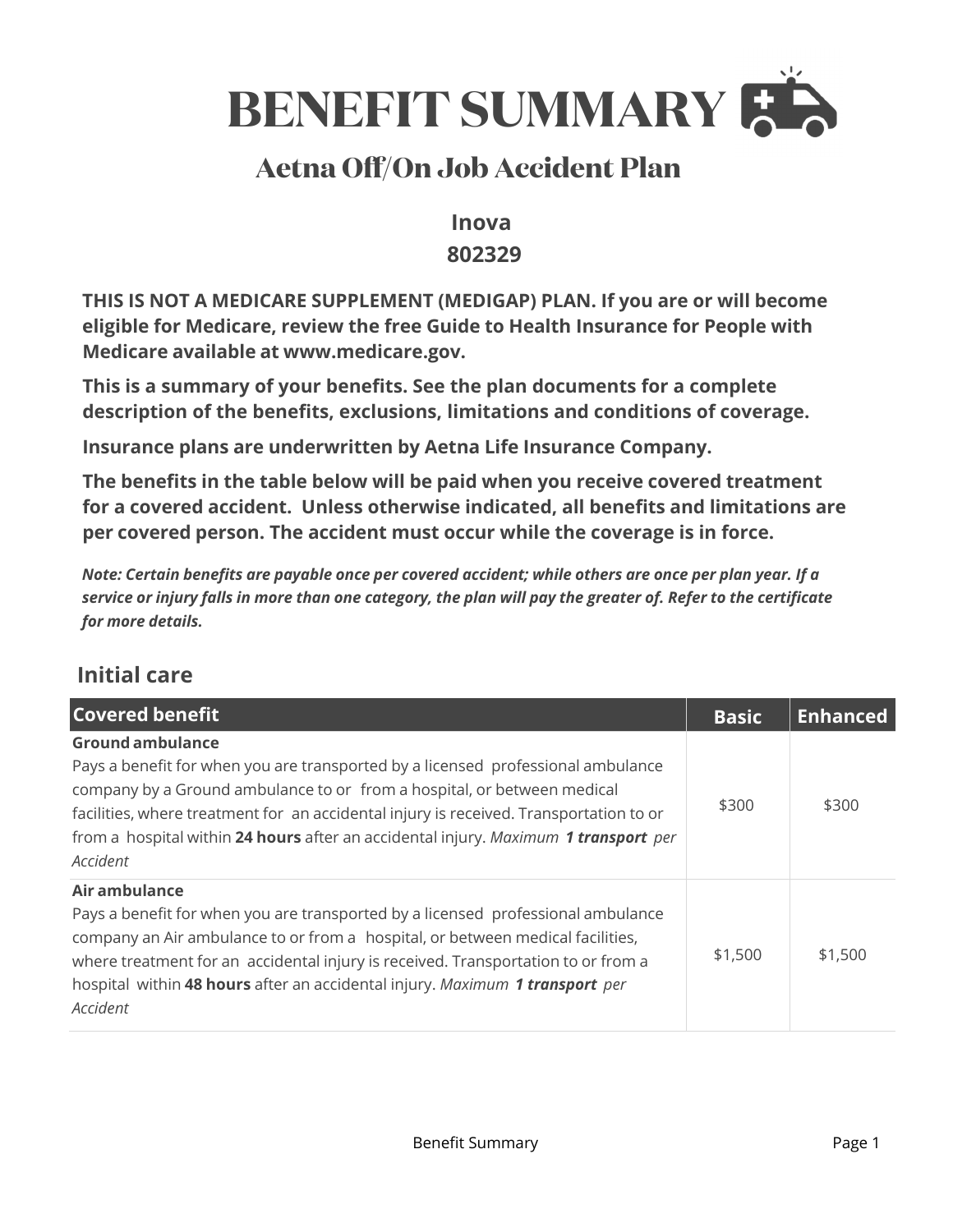

# **Aetna Off/On Job Accident Plan**

### **Inova 802329**

**THIS IS NOT A MEDICARE SUPPLEMENT (MEDIGAP) PLAN. If you are or will become eligible for Medicare, review the free Guide to Health Insurance for People with Medicare available at www.medicare.gov.** 

**This is a summary of your benefits. See the plan documents for a complete description of the benefits, exclusions, limitations and conditions of coverage.** 

**Insurance plans are underwritten by Aetna Life Insurance Company.** 

**The benefits in the table below will be paid when you receive covered treatment for a covered accident. Unless otherwise indicated, all benefits and limitations are per covered person. The accident must occur while the coverage is in force.** 

*Note: Certain benefits are payable once per covered accident; while others are once per plan year. If a service or injury falls in more than one category, the plan will pay the greater of. Refer to the certificate for more details.*

### **Initial care**

| <b>Covered benefit</b>                                                                                                                                                                                                                                                                                                                                                              | <b>Basic</b> | <b>Enhanced</b> |
|-------------------------------------------------------------------------------------------------------------------------------------------------------------------------------------------------------------------------------------------------------------------------------------------------------------------------------------------------------------------------------------|--------------|-----------------|
| <b>Ground ambulance</b><br>Pays a benefit for when you are transported by a licensed professional ambulance<br>company by a Ground ambulance to or from a hospital, or between medical<br>facilities, where treatment for an accidental injury is received. Transportation to or<br>from a hospital within 24 hours after an accidental injury. Maximum 1 transport per<br>Accident | \$300        | \$300           |
| Air ambulance<br>Pays a benefit for when you are transported by a licensed professional ambulance<br>company an Air ambulance to or from a hospital, or between medical facilities,<br>where treatment for an accidental injury is received. Transportation to or from a<br>hospital within 48 hours after an accidental injury. Maximum 1 transport per<br>Accident                | \$1,500      | \$1,500         |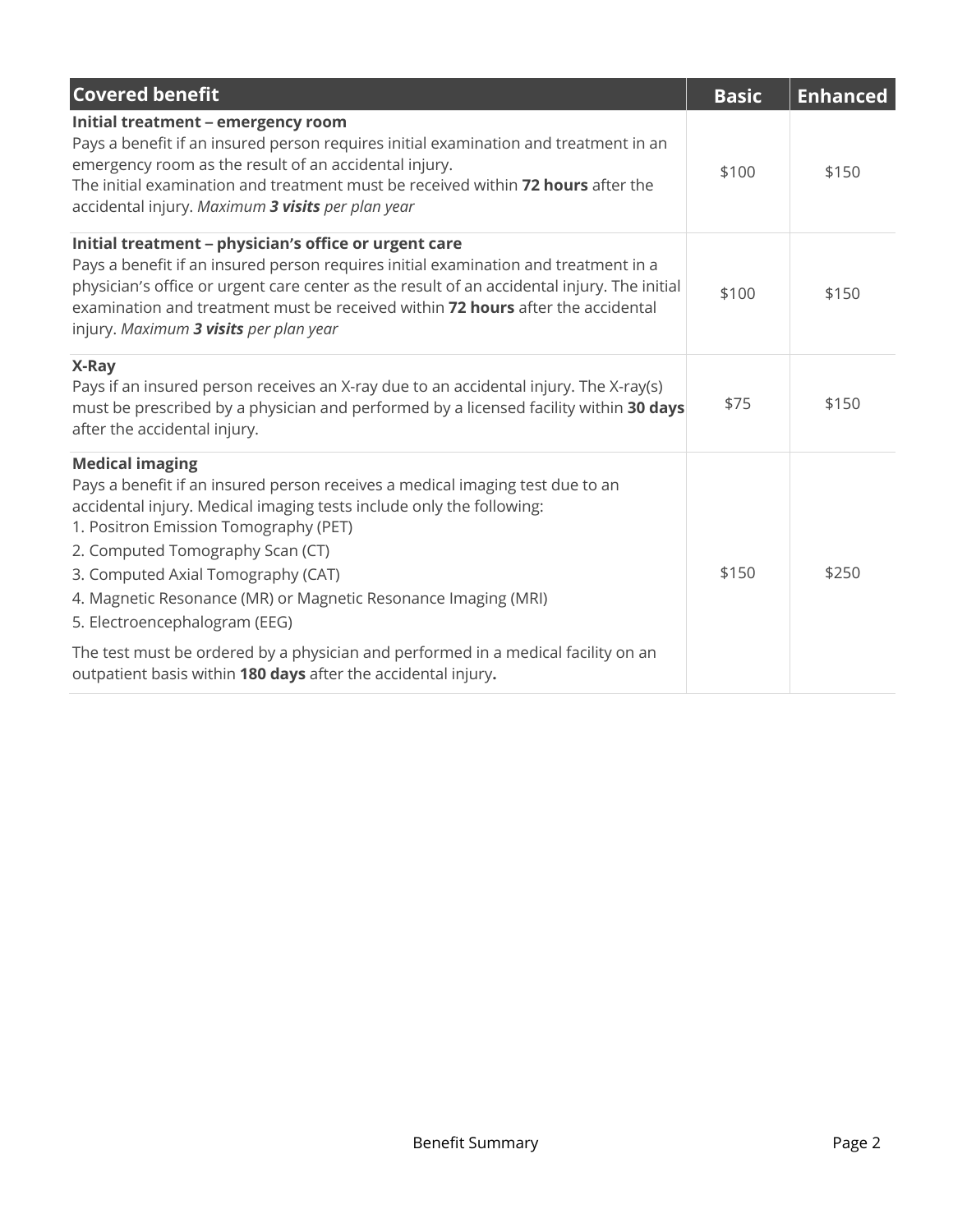| <b>Covered benefit</b>                                                                                                                                                                                                                                                                                                                                                                                                                                                                                                                                      | <b>Basic</b> | <b>Enhanced</b> |
|-------------------------------------------------------------------------------------------------------------------------------------------------------------------------------------------------------------------------------------------------------------------------------------------------------------------------------------------------------------------------------------------------------------------------------------------------------------------------------------------------------------------------------------------------------------|--------------|-----------------|
| Initial treatment - emergency room<br>Pays a benefit if an insured person requires initial examination and treatment in an<br>emergency room as the result of an accidental injury.<br>The initial examination and treatment must be received within 72 hours after the<br>accidental injury. Maximum 3 visits per plan year                                                                                                                                                                                                                                | \$100        | \$150           |
| Initial treatment - physician's office or urgent care<br>Pays a benefit if an insured person requires initial examination and treatment in a<br>physician's office or urgent care center as the result of an accidental injury. The initial<br>examination and treatment must be received within 72 hours after the accidental<br>injury. Maximum 3 visits per plan year                                                                                                                                                                                    | \$100        | \$150           |
| X-Ray<br>Pays if an insured person receives an X-ray due to an accidental injury. The X-ray(s)<br>must be prescribed by a physician and performed by a licensed facility within 30 days<br>after the accidental injury.                                                                                                                                                                                                                                                                                                                                     | \$75         | \$150           |
| <b>Medical imaging</b><br>Pays a benefit if an insured person receives a medical imaging test due to an<br>accidental injury. Medical imaging tests include only the following:<br>1. Positron Emission Tomography (PET)<br>2. Computed Tomography Scan (CT)<br>3. Computed Axial Tomography (CAT)<br>4. Magnetic Resonance (MR) or Magnetic Resonance Imaging (MRI)<br>5. Electroencephalogram (EEG)<br>The test must be ordered by a physician and performed in a medical facility on an<br>outpatient basis within 180 days after the accidental injury. | \$150        | \$250           |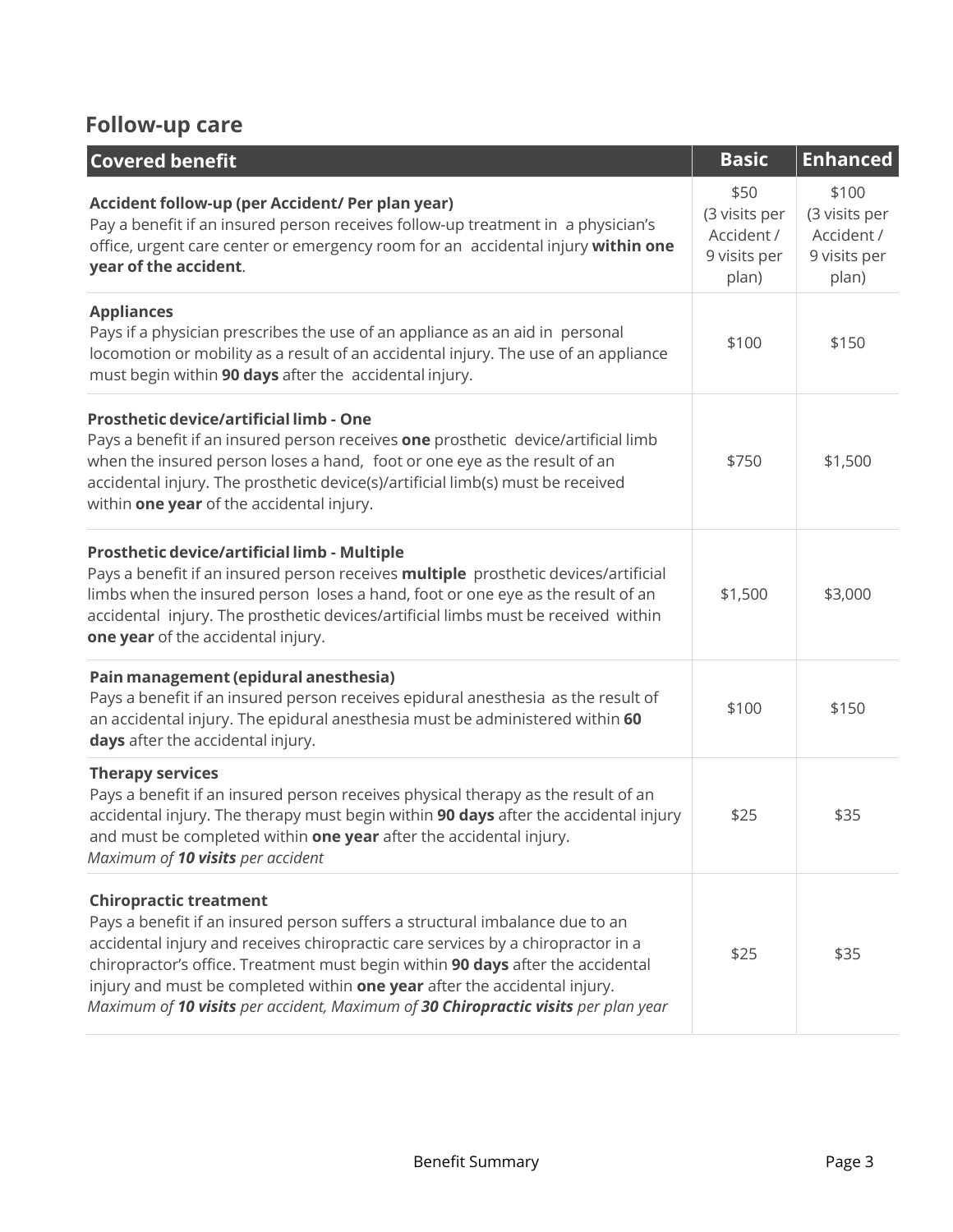### **Follow-up care**

| <b>Covered benefit</b>                                                                                                                                                                                                                                                                                                                                                                                                                                  | <b>Basic</b>                                                 | <b>Enhanced</b>                                               |
|---------------------------------------------------------------------------------------------------------------------------------------------------------------------------------------------------------------------------------------------------------------------------------------------------------------------------------------------------------------------------------------------------------------------------------------------------------|--------------------------------------------------------------|---------------------------------------------------------------|
| Accident follow-up (per Accident/ Per plan year)<br>Pay a benefit if an insured person receives follow-up treatment in a physician's<br>office, urgent care center or emergency room for an accidental injury within one<br>year of the accident.                                                                                                                                                                                                       | \$50<br>(3 visits per<br>Accident /<br>9 visits per<br>plan) | \$100<br>(3 visits per<br>Accident /<br>9 visits per<br>plan) |
| <b>Appliances</b><br>Pays if a physician prescribes the use of an appliance as an aid in personal<br>locomotion or mobility as a result of an accidental injury. The use of an appliance<br>must begin within 90 days after the accidental injury.                                                                                                                                                                                                      | \$100                                                        | \$150                                                         |
| Prosthetic device/artificial limb - One<br>Pays a benefit if an insured person receives one prosthetic device/artificial limb<br>when the insured person loses a hand, foot or one eye as the result of an<br>accidental injury. The prosthetic device(s)/artificial limb(s) must be received<br>within one year of the accidental injury.                                                                                                              | \$750                                                        | \$1,500                                                       |
| Prosthetic device/artificial limb - Multiple<br>Pays a benefit if an insured person receives multiple prosthetic devices/artificial<br>limbs when the insured person loses a hand, foot or one eye as the result of an<br>accidental injury. The prosthetic devices/artificial limbs must be received within<br>one year of the accidental injury.                                                                                                      | \$1,500                                                      | \$3,000                                                       |
| Pain management (epidural anesthesia)<br>Pays a benefit if an insured person receives epidural anesthesia as the result of<br>an accidental injury. The epidural anesthesia must be administered within 60<br>days after the accidental injury.                                                                                                                                                                                                         | \$100                                                        | \$150                                                         |
| <b>Therapy services</b><br>Pays a benefit if an insured person receives physical therapy as the result of an<br>accidental injury. The therapy must begin within 90 days after the accidental injury<br>and must be completed within one year after the accidental injury.<br>Maximum of 10 visits per accident                                                                                                                                         | \$25                                                         | \$35                                                          |
| <b>Chiropractic treatment</b><br>Pays a benefit if an insured person suffers a structural imbalance due to an<br>accidental injury and receives chiropractic care services by a chiropractor in a<br>chiropractor's office. Treatment must begin within 90 days after the accidental<br>injury and must be completed within one year after the accidental injury.<br>Maximum of 10 visits per accident, Maximum of 30 Chiropractic visits per plan year | \$25                                                         | \$35                                                          |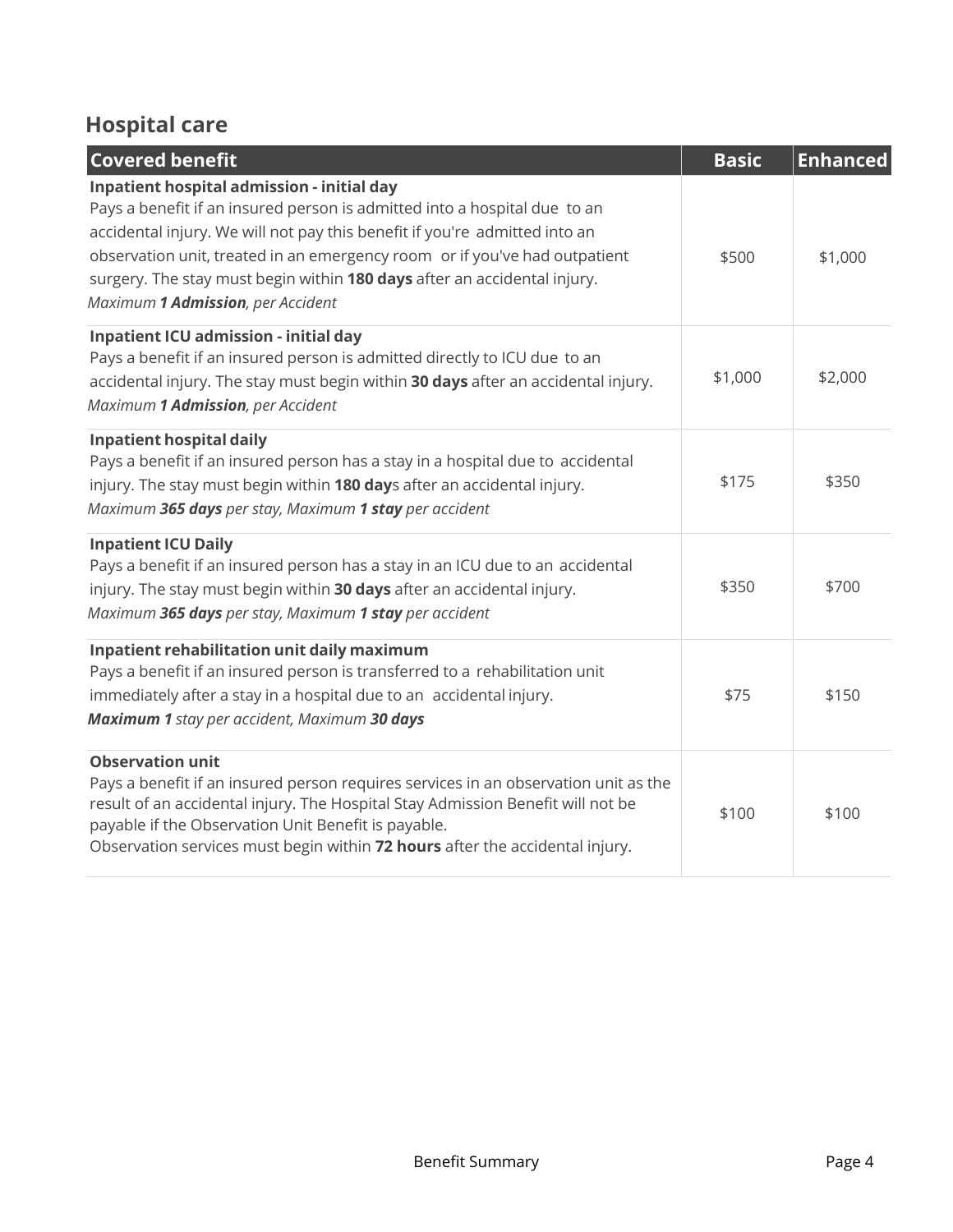# **Hospital care**

| <b>Covered benefit</b>                                                                                                                                                                                                                                                                                                                                                                               | <b>Basic</b> | <b>Enhanced</b> |
|------------------------------------------------------------------------------------------------------------------------------------------------------------------------------------------------------------------------------------------------------------------------------------------------------------------------------------------------------------------------------------------------------|--------------|-----------------|
| Inpatient hospital admission - initial day<br>Pays a benefit if an insured person is admitted into a hospital due to an<br>accidental injury. We will not pay this benefit if you're admitted into an<br>observation unit, treated in an emergency room or if you've had outpatient<br>surgery. The stay must begin within 180 days after an accidental injury.<br>Maximum 1 Admission, per Accident | \$500        | \$1,000         |
| Inpatient ICU admission - initial day<br>Pays a benefit if an insured person is admitted directly to ICU due to an<br>accidental injury. The stay must begin within 30 days after an accidental injury.<br>Maximum 1 Admission, per Accident                                                                                                                                                         | \$1,000      | \$2,000         |
| <b>Inpatient hospital daily</b><br>Pays a benefit if an insured person has a stay in a hospital due to accidental<br>injury. The stay must begin within 180 days after an accidental injury.<br>Maximum 365 days per stay, Maximum 1 stay per accident                                                                                                                                               | \$175        | \$350           |
| <b>Inpatient ICU Daily</b><br>Pays a benefit if an insured person has a stay in an ICU due to an accidental<br>injury. The stay must begin within 30 days after an accidental injury.<br>Maximum 365 days per stay, Maximum 1 stay per accident                                                                                                                                                      | \$350        | \$700           |
| Inpatient rehabilitation unit daily maximum<br>Pays a benefit if an insured person is transferred to a rehabilitation unit<br>immediately after a stay in a hospital due to an accidental injury.<br>Maximum 1 stay per accident, Maximum 30 days                                                                                                                                                    | \$75         | \$150           |
| <b>Observation unit</b><br>Pays a benefit if an insured person requires services in an observation unit as the<br>result of an accidental injury. The Hospital Stay Admission Benefit will not be<br>payable if the Observation Unit Benefit is payable.<br>Observation services must begin within 72 hours after the accidental injury.                                                             | \$100        | \$100           |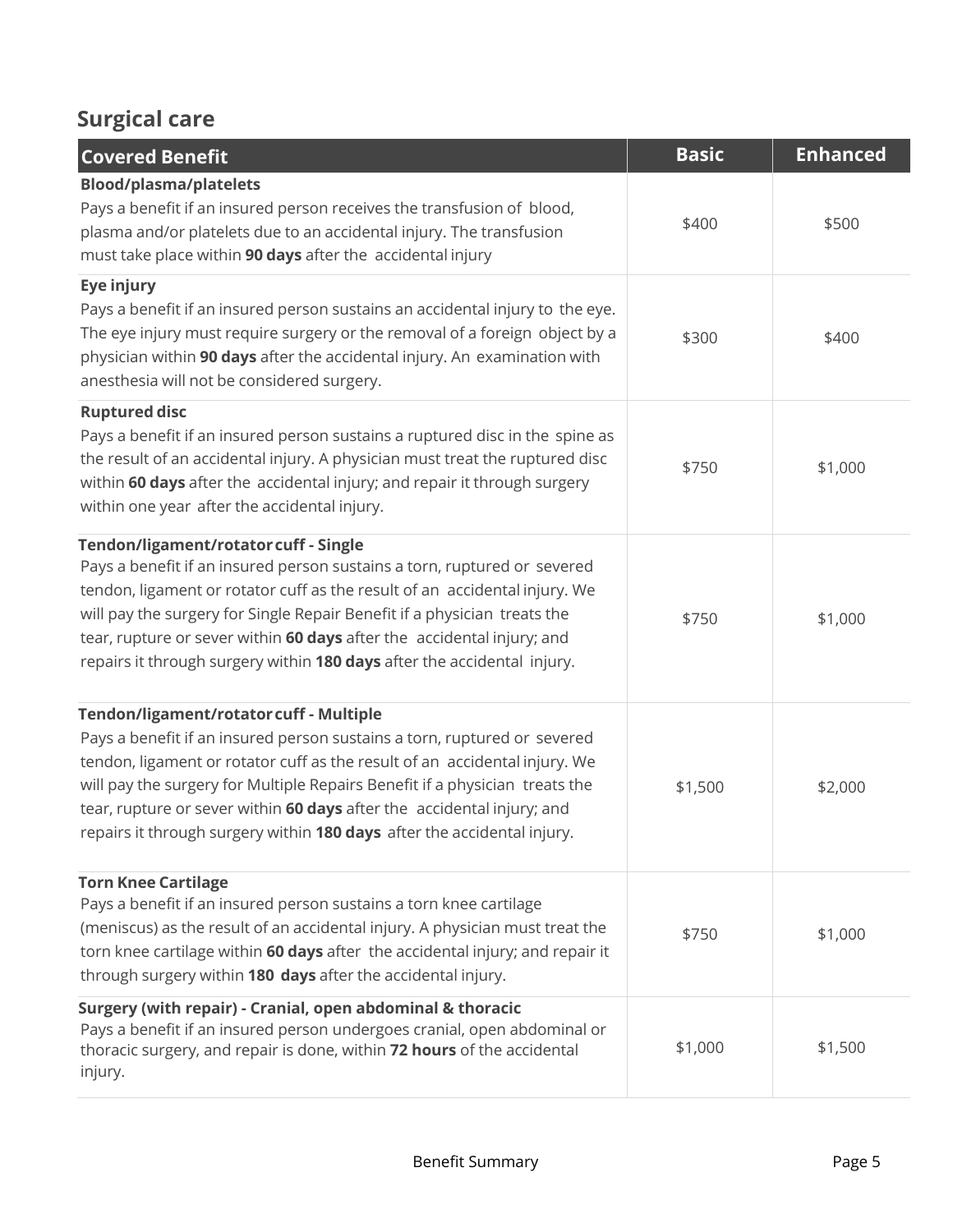## **Surgical care**

| <b>Covered Benefit</b>                                                                                                                                                                                                                                                                                                                                                                                                                | <b>Basic</b> | <b>Enhanced</b> |
|---------------------------------------------------------------------------------------------------------------------------------------------------------------------------------------------------------------------------------------------------------------------------------------------------------------------------------------------------------------------------------------------------------------------------------------|--------------|-----------------|
| <b>Blood/plasma/platelets</b><br>Pays a benefit if an insured person receives the transfusion of blood,<br>plasma and/or platelets due to an accidental injury. The transfusion<br>must take place within 90 days after the accidental injury                                                                                                                                                                                         | \$400        | \$500           |
| Eye injury<br>Pays a benefit if an insured person sustains an accidental injury to the eye.<br>The eye injury must require surgery or the removal of a foreign object by a<br>physician within 90 days after the accidental injury. An examination with<br>anesthesia will not be considered surgery.                                                                                                                                 | \$300        | \$400           |
| <b>Ruptured disc</b><br>Pays a benefit if an insured person sustains a ruptured disc in the spine as<br>the result of an accidental injury. A physician must treat the ruptured disc<br>within 60 days after the accidental injury; and repair it through surgery<br>within one year after the accidental injury.                                                                                                                     | \$750        | \$1,000         |
| Tendon/ligament/rotator cuff - Single<br>Pays a benefit if an insured person sustains a torn, ruptured or severed<br>tendon, ligament or rotator cuff as the result of an accidental injury. We<br>will pay the surgery for Single Repair Benefit if a physician treats the<br>tear, rupture or sever within 60 days after the accidental injury; and<br>repairs it through surgery within 180 days after the accidental injury.      | \$750        | \$1,000         |
| Tendon/ligament/rotator cuff - Multiple<br>Pays a benefit if an insured person sustains a torn, ruptured or severed<br>tendon, ligament or rotator cuff as the result of an accidental injury. We<br>will pay the surgery for Multiple Repairs Benefit if a physician treats the<br>tear, rupture or sever within 60 days after the accidental injury; and<br>repairs it through surgery within 180 days after the accidental injury. | \$1,500      | \$2,000         |
| <b>Torn Knee Cartilage</b><br>Pays a benefit if an insured person sustains a torn knee cartilage<br>(meniscus) as the result of an accidental injury. A physician must treat the<br>torn knee cartilage within 60 days after the accidental injury; and repair it<br>through surgery within 180 days after the accidental injury.                                                                                                     | \$750        | \$1,000         |
| Surgery (with repair) - Cranial, open abdominal & thoracic<br>Pays a benefit if an insured person undergoes cranial, open abdominal or<br>thoracic surgery, and repair is done, within 72 hours of the accidental<br>injury.                                                                                                                                                                                                          | \$1,000      | \$1,500         |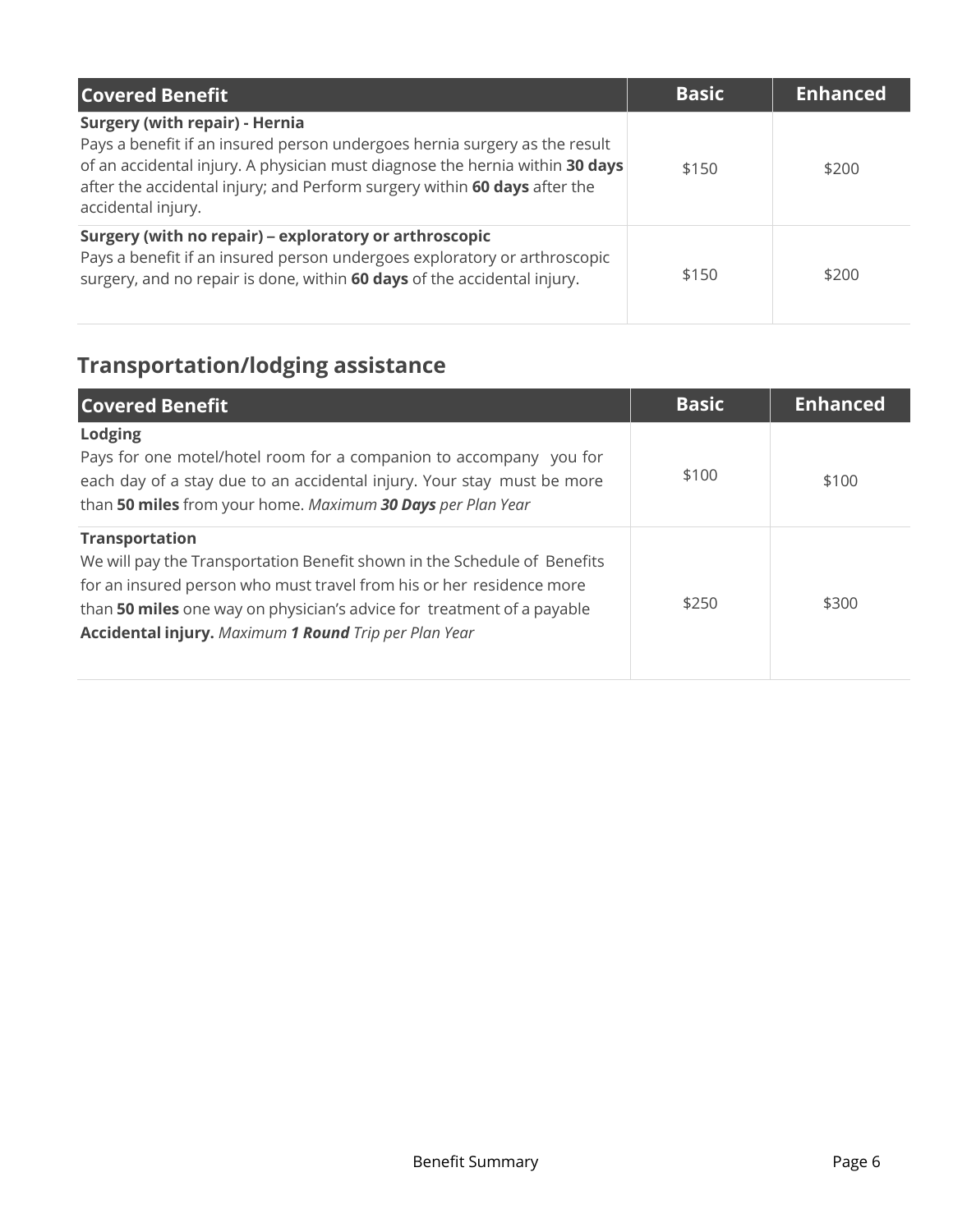| <b>Covered Benefit</b>                                                                                                                                                                                                                                                                                 | <b>Basic</b> | <b>Enhanced</b> |
|--------------------------------------------------------------------------------------------------------------------------------------------------------------------------------------------------------------------------------------------------------------------------------------------------------|--------------|-----------------|
| <b>Surgery (with repair) - Hernia</b><br>Pays a benefit if an insured person undergoes hernia surgery as the result<br>of an accidental injury. A physician must diagnose the hernia within 30 days<br>after the accidental injury; and Perform surgery within 60 days after the<br>accidental injury. | \$150        | \$200           |
| Surgery (with no repair) – exploratory or arthroscopic<br>Pays a benefit if an insured person undergoes exploratory or arthroscopic<br>surgery, and no repair is done, within 60 days of the accidental injury.                                                                                        | \$150        | \$200           |

# **Transportation/lodging assistance**

| <b>Covered Benefit</b>                                                                                                                                                                                                                                                                                              | <b>Basic</b> | <b>Enhanced</b> |
|---------------------------------------------------------------------------------------------------------------------------------------------------------------------------------------------------------------------------------------------------------------------------------------------------------------------|--------------|-----------------|
| <b>Lodging</b><br>Pays for one motel/hotel room for a companion to accompany you for<br>each day of a stay due to an accidental injury. Your stay must be more<br>than 50 miles from your home. Maximum 30 Days per Plan Year                                                                                       | \$100        | \$100           |
| <b>Transportation</b><br>We will pay the Transportation Benefit shown in the Schedule of Benefits<br>for an insured person who must travel from his or her residence more<br>than 50 miles one way on physician's advice for treatment of a payable<br><b>Accidental injury.</b> Maximum 1 Round Trip per Plan Year | \$250        | \$300           |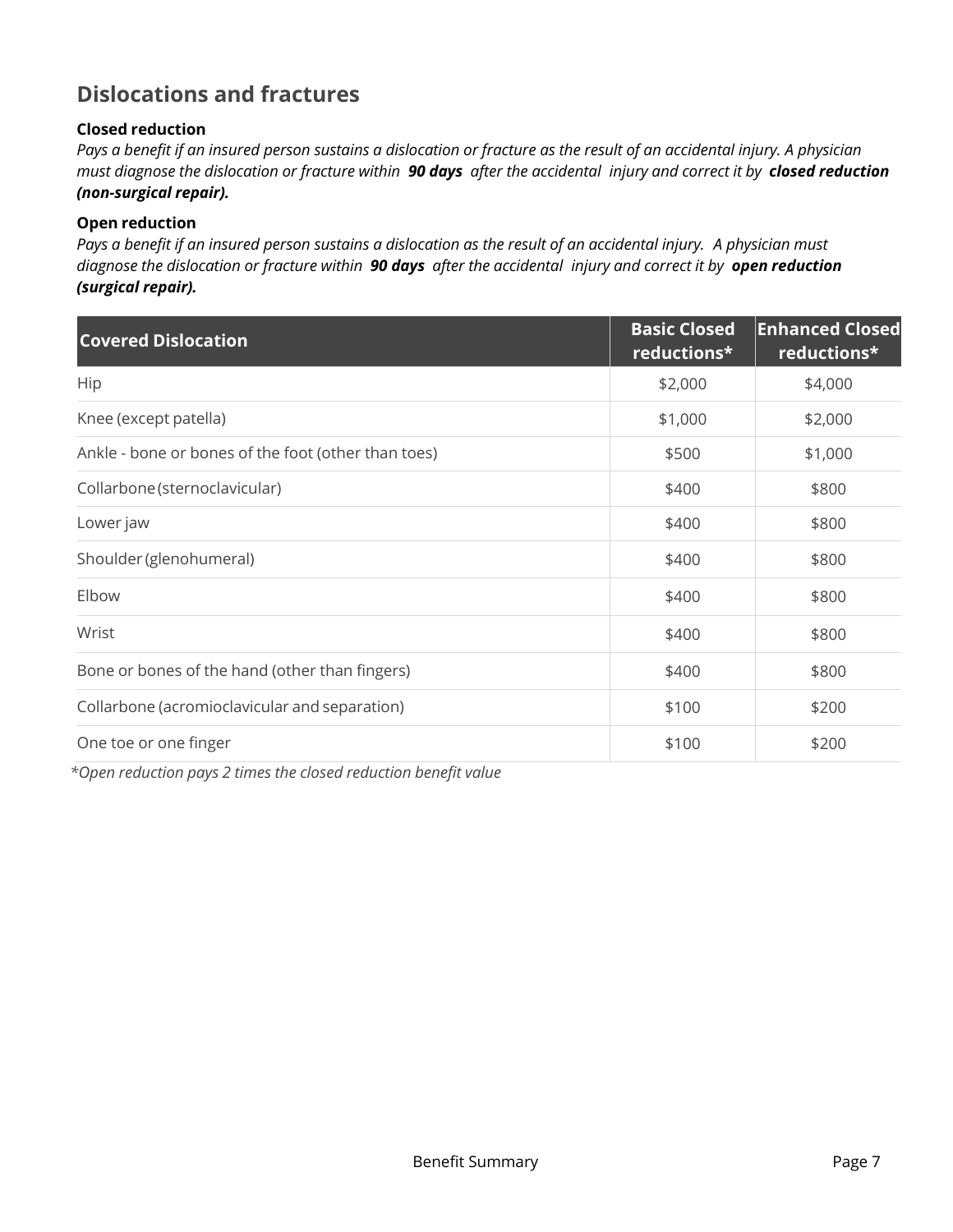### **Dislocations and fractures**

#### **Closed reduction**

*Pays a benefit if an insured person sustains a dislocation or fracture as the result of an accidental injury. A physician must diagnose the dislocation or fracture within 90 days after the accidental injury and correct it by closed reduction (non-surgical repair).* 

#### **Open reduction**

*Pays a benefit if an insured person sustains a dislocation as the result of an accidental injury. A physician must diagnose the dislocation or fracture within 90 days after the accidental injury and correct it by open reduction (surgical repair).* 

| <b>Covered Dislocation</b>                          | <b>Basic Closed</b><br>reductions* | <b>Enhanced Closed</b><br>reductions* |
|-----------------------------------------------------|------------------------------------|---------------------------------------|
| Hip                                                 | \$2,000                            | \$4,000                               |
| Knee (except patella)                               | \$1,000                            | \$2,000                               |
| Ankle - bone or bones of the foot (other than toes) | \$500                              | \$1,000                               |
| Collarbone (sternoclavicular)                       | \$400                              | \$800                                 |
| Lower jaw                                           | \$400                              | \$800                                 |
| Shoulder (glenohumeral)                             | \$400                              | \$800                                 |
| Elbow                                               | \$400                              | \$800                                 |
| Wrist                                               | \$400                              | \$800                                 |
| Bone or bones of the hand (other than fingers)      | \$400                              | \$800                                 |
| Collarbone (acromioclavicular and separation)       | \$100                              | \$200                                 |
| One toe or one finger                               | \$100                              | \$200                                 |

*\*Open reduction pays 2 times the closed reduction benefit value*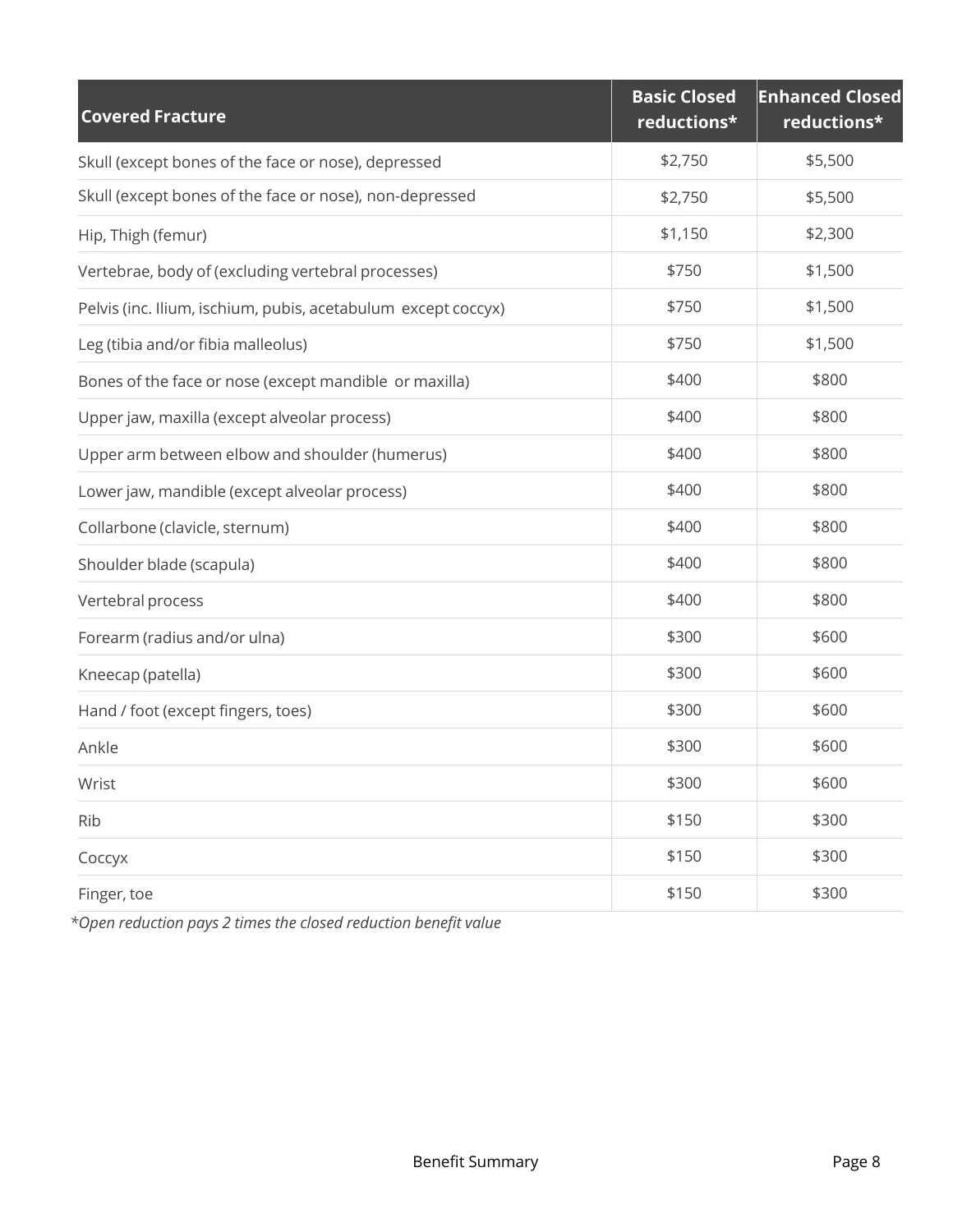| <b>Covered Fracture</b>                                       | <b>Basic Closed</b><br>reductions* | <b>Enhanced Closed</b><br>reductions* |
|---------------------------------------------------------------|------------------------------------|---------------------------------------|
| Skull (except bones of the face or nose), depressed           | \$2,750                            | \$5,500                               |
| Skull (except bones of the face or nose), non-depressed       | \$2,750                            | \$5,500                               |
| Hip, Thigh (femur)                                            | \$1,150                            | \$2,300                               |
| Vertebrae, body of (excluding vertebral processes)            | \$750                              | \$1,500                               |
| Pelvis (inc. Ilium, ischium, pubis, acetabulum except coccyx) | \$750                              | \$1,500                               |
| Leg (tibia and/or fibia malleolus)                            | \$750                              | \$1,500                               |
| Bones of the face or nose (except mandible or maxilla)        | \$400                              | \$800                                 |
| Upper jaw, maxilla (except alveolar process)                  | \$400                              | \$800                                 |
| Upper arm between elbow and shoulder (humerus)                | \$400                              | \$800                                 |
| Lower jaw, mandible (except alveolar process)                 | \$400                              | \$800                                 |
| Collarbone (clavicle, sternum)                                | \$400                              | \$800                                 |
| Shoulder blade (scapula)                                      | \$400                              | \$800                                 |
| Vertebral process                                             | \$400                              | \$800                                 |
| Forearm (radius and/or ulna)                                  | \$300                              | \$600                                 |
| Kneecap (patella)                                             | \$300                              | \$600                                 |
| Hand / foot (except fingers, toes)                            | \$300                              | \$600                                 |
| Ankle                                                         | \$300                              | \$600                                 |
| Wrist                                                         | \$300                              | \$600                                 |
| Rib                                                           | \$150                              | \$300                                 |
| Соссух                                                        | \$150                              | \$300                                 |
| Finger, toe                                                   | \$150                              | \$300                                 |

*\*Open reduction pays 2 times the closed reduction benefit value*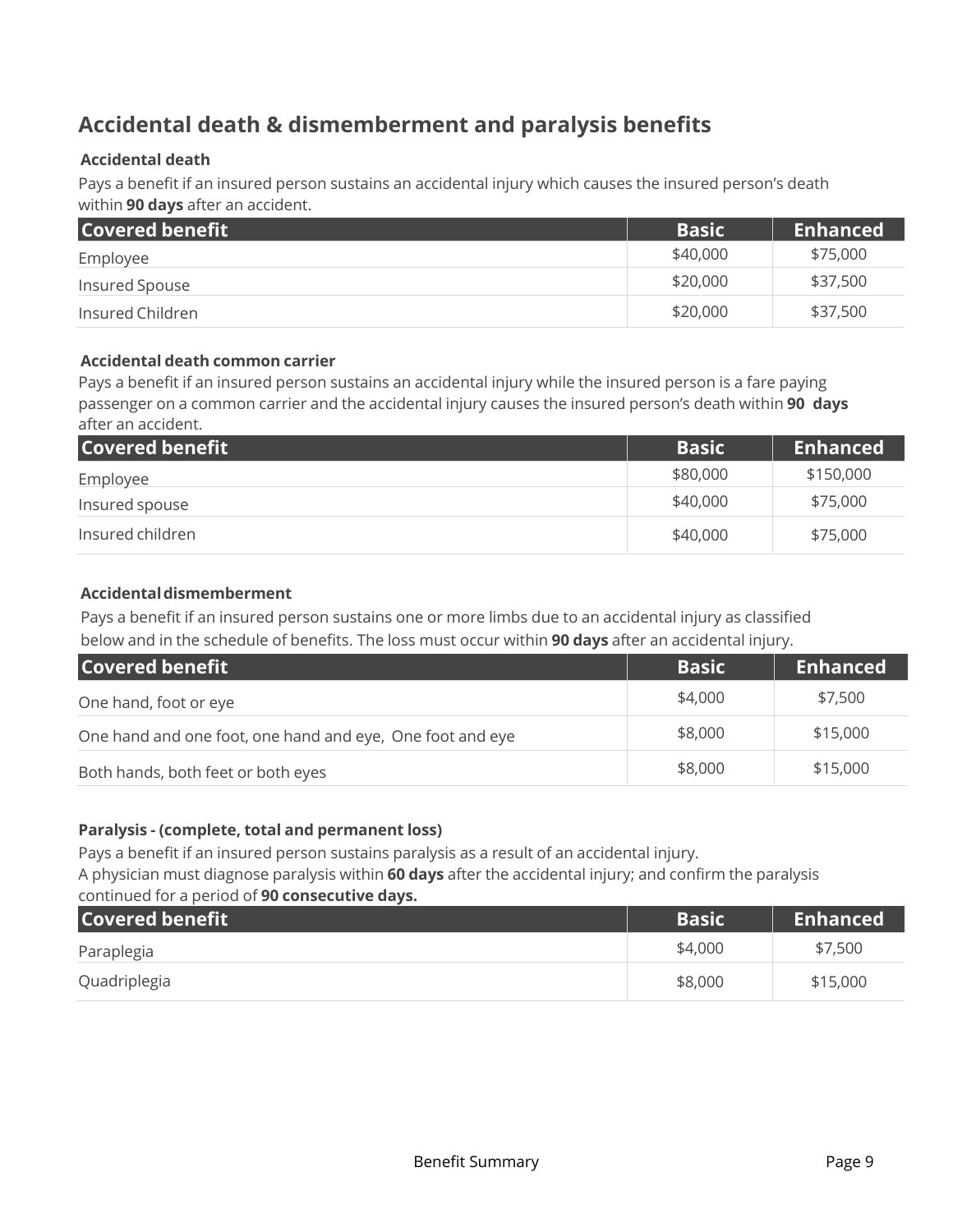### **Accidental death & dismemberment and paralysis benefits**

#### **Accidental death**

Pays a benefit if an insured person sustains an accidental injury which causes the insured person's death within **90 days** after an accident.

| <b>Covered benefit</b> | <b>Basic</b> | <b>Enhanced</b> |
|------------------------|--------------|-----------------|
| Employee               | \$40,000     | \$75,000        |
| Insured Spouse         | \$20,000     | \$37,500        |
| Insured Children       | \$20,000     | \$37,500        |

#### **Accidental death common carrier**

Pays a benefit if an insured person sustains an accidental injury while the insured person is a fare paying passenger on a common carrier and the accidental injury causes the insured person's death within **90 days**  after an accident.

| Covered benefit  | <b>Basic</b> | <b>Enhanced</b> |
|------------------|--------------|-----------------|
| Employee         | \$80,000     | \$150,000       |
| Insured spouse   | \$40,000     | \$75,000        |
| Insured children | \$40,000     | \$75,000        |

#### **Accidental dismemberment**

Pays a benefit if an insured person sustains one or more limbs due to an accidental injury as classified below and in the schedule of benefits. The loss must occur within **90 days** after an accidental injury.

| <b>Covered benefit</b>                                    | <b>Basic</b> | <b>Enhanced</b> |
|-----------------------------------------------------------|--------------|-----------------|
| One hand, foot or eye                                     | \$4,000      | \$7,500         |
| One hand and one foot, one hand and eye, One foot and eye | \$8,000      | \$15,000        |
| Both hands, both feet or both eyes                        | \$8,000      | \$15,000        |

#### **Paralysis - (complete, total and permanent loss)**

Pays a benefit if an insured person sustains paralysis as a result of an accidental injury. A physician must diagnose paralysis within **60 days** after the accidental injury; and confirm the paralysis

### continued for a period of **90 consecutive days. Covered benefit Covered benefit** Basic Covered benefit Enhanced Paraplegia \$4,000 \$7,500 Quadriplegia \$8,000 \$15,000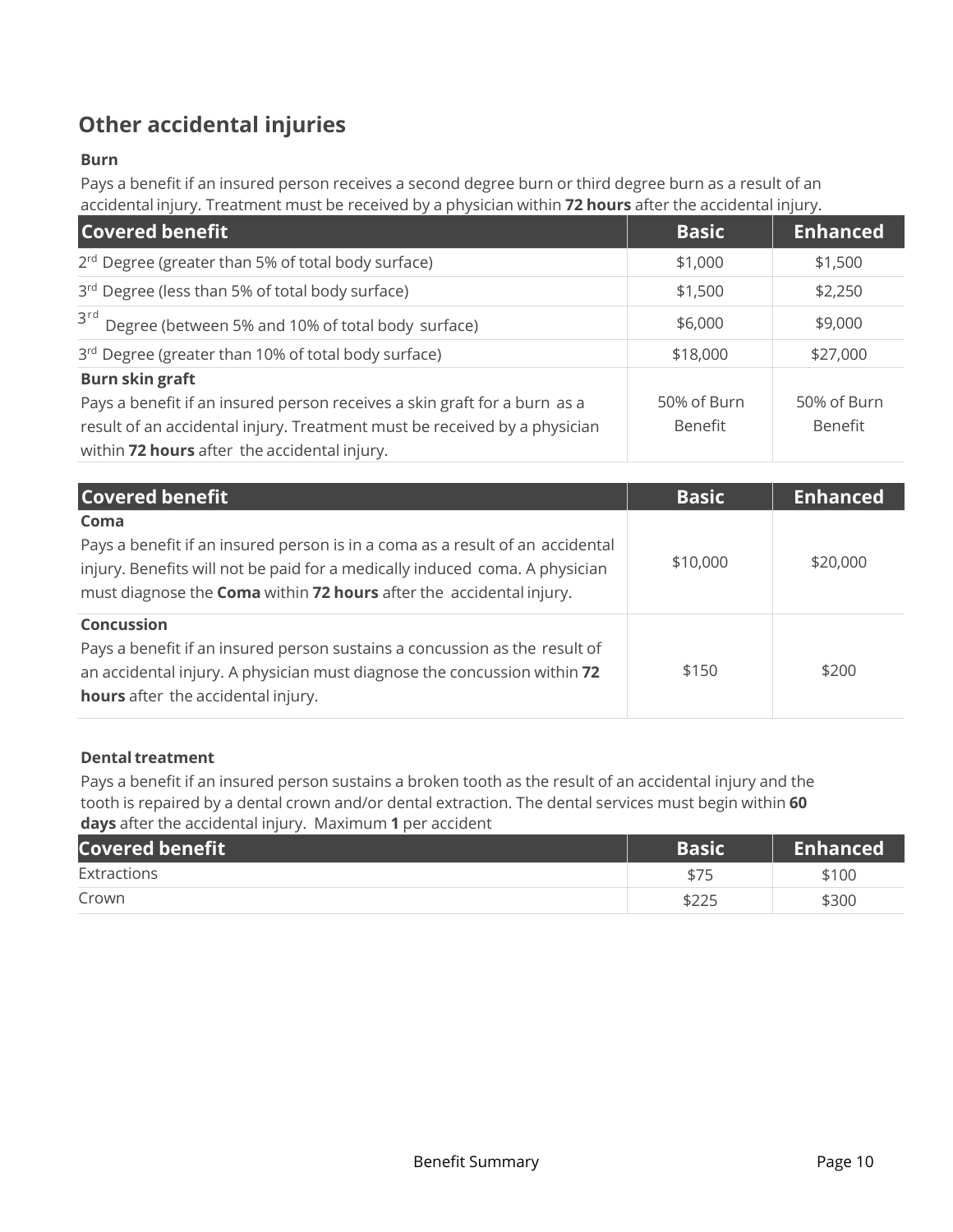### **Other accidental injuries**

#### **Burn**

Pays a benefit if an insured person receives a second degree burn or third degree burn as a result of an accidental injury. Treatment must be received by a physician within **72 hours** after the accidental injury.

| <b>Covered benefit</b>                                                    | <b>Basic</b> | <b>Enhanced</b> |
|---------------------------------------------------------------------------|--------------|-----------------|
| 2 <sup>rd</sup> Degree (greater than 5% of total body surface)            | \$1,000      | \$1,500         |
| 3rd Degree (less than 5% of total body surface)                           | \$1,500      | \$2,250         |
| 3rd Degree (between 5% and 10% of total body surface)                     | \$6,000      | \$9,000         |
| 3rd Degree (greater than 10% of total body surface)                       | \$18,000     | \$27,000        |
| <b>Burn skin graft</b>                                                    |              |                 |
| Pays a benefit if an insured person receives a skin graft for a burn as a | 50% of Burn  | 50% of Burn     |
| result of an accidental injury. Treatment must be received by a physician | Benefit      | Benefit         |
| within 72 hours after the accidental injury.                              |              |                 |

| <b>Covered benefit</b>                                                                                                                                                                                                                      | <b>Basic</b> | <b>Enhanced</b> |
|---------------------------------------------------------------------------------------------------------------------------------------------------------------------------------------------------------------------------------------------|--------------|-----------------|
| Coma<br>Pays a benefit if an insured person is in a coma as a result of an accidental<br>injury. Benefits will not be paid for a medically induced coma. A physician<br>must diagnose the Coma within 72 hours after the accidental injury. | \$10,000     | \$20,000        |
| <b>Concussion</b><br>Pays a benefit if an insured person sustains a concussion as the result of<br>an accidental injury. A physician must diagnose the concussion within 72<br><b>hours</b> after the accidental injury.                    | \$150        | \$200           |

#### **Dental treatment**

Pays a benefit if an insured person sustains a broken tooth as the result of an accidental injury and the tooth is repaired by a dental crown and/or dental extraction. The dental services must begin within **60 days** after the accidental injury. Maximum **1** per accident

| <b>Covered benefit</b> | <b>Basic</b> | <b>Enhanced</b> |
|------------------------|--------------|-----------------|
| Extractions            | \$75         | \$100           |
| Crown                  | \$225        | \$300           |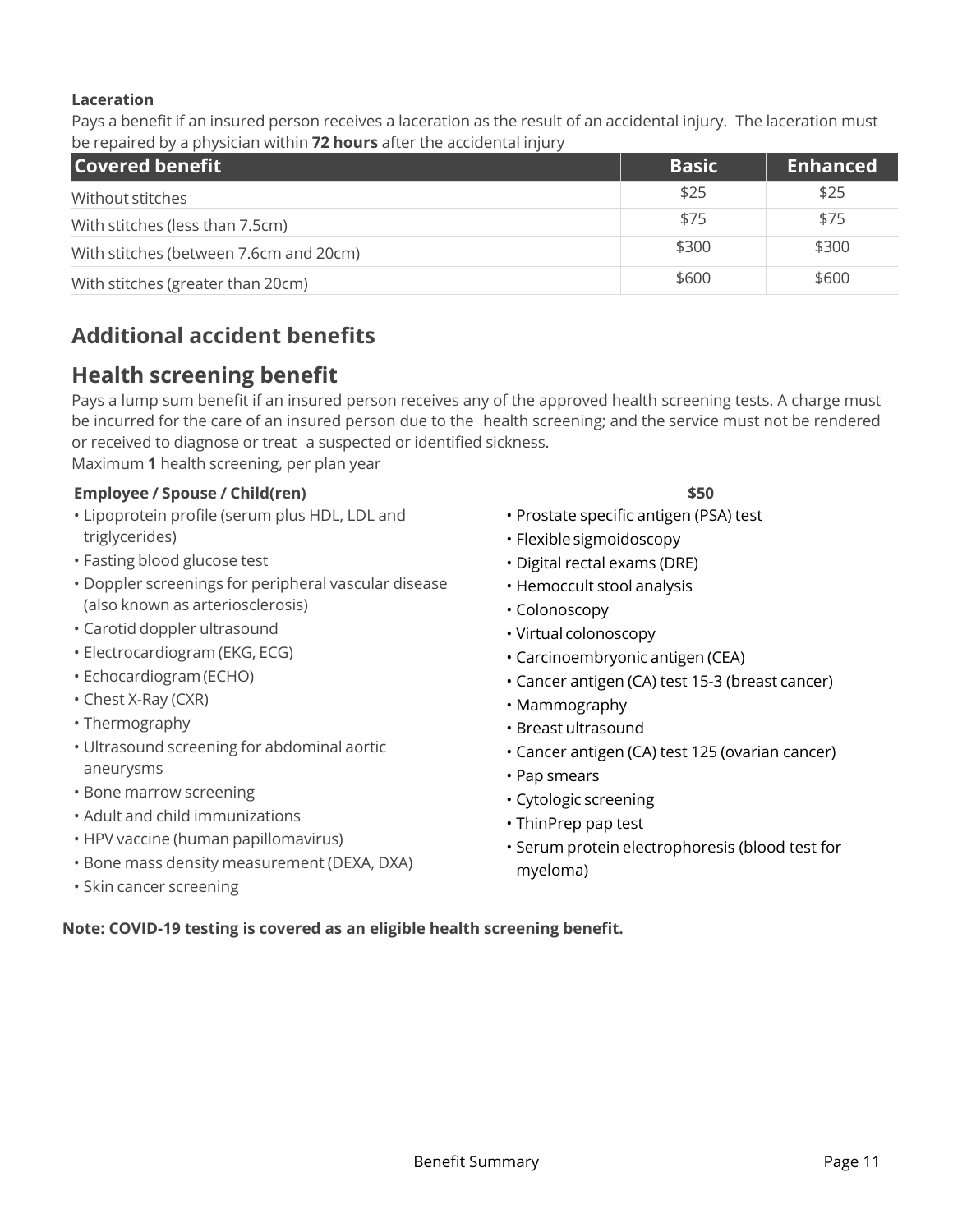#### **Laceration**

Pays a benefit if an insured person receives a laceration as the result of an accidental injury. The laceration must be repaired by a physician within **72 hours** after the accidental injury

| <b>Covered benefit</b>                 | <b>Basic</b> | <b>Enhanced</b> |
|----------------------------------------|--------------|-----------------|
| Without stitches                       | \$25         | \$25            |
| With stitches (less than 7.5cm)        | \$75         | \$75            |
| With stitches (between 7.6cm and 20cm) | \$300        | \$300           |
| With stitches (greater than 20cm)      | \$600        | \$600           |

### **Additional accident benefits**

### **Health screening benefit**

Pays a lump sum benefit if an insured person receives any of the approved health screening tests. A charge must be incurred for the care of an insured person due to the health screening; and the service must not be rendered or received to diagnose or treat a suspected or identified sickness.

Maximum **1** health screening, per plan year

#### **Employee / Spouse / Child(ren) \$50**

- Lipoprotein profile (serum plus HDL, LDL and triglycerides)
- Fasting blood glucose test
- Doppler screenings for peripheral vascular disease (also known as arteriosclerosis)
- Carotid doppler ultrasound
- Electrocardiogram (EKG, ECG)
- Echocardiogram (ECHO)
- Chest X-Ray (CXR)
- Thermography
- Ultrasound screening for abdominal aortic aneurysms
- Bone marrow screening
- Adult and child immunizations
- HPV vaccine (human papillomavirus)
- Bone mass density measurement (DEXA, DXA)
- Skin cancer screening

- Prostate specific antigen (PSA) test
- Flexible sigmoidoscopy
- Digital rectal exams (DRE)
- Hemoccult stool analysis
- Colonoscopy
- Virtual colonoscopy
- Carcinoembryonic antigen (CEA)
- Cancer antigen (CA) test 15-3 (breast cancer)
- Mammography
- Breast ultrasound
- Cancer antigen (CA) test 125 (ovarian cancer)
- Pap smears
- Cytologic screening
- ThinPrep pap test
- Serum protein electrophoresis (blood test for myeloma)

**Note: COVID-19 testing is covered as an eligible health screening benefit.**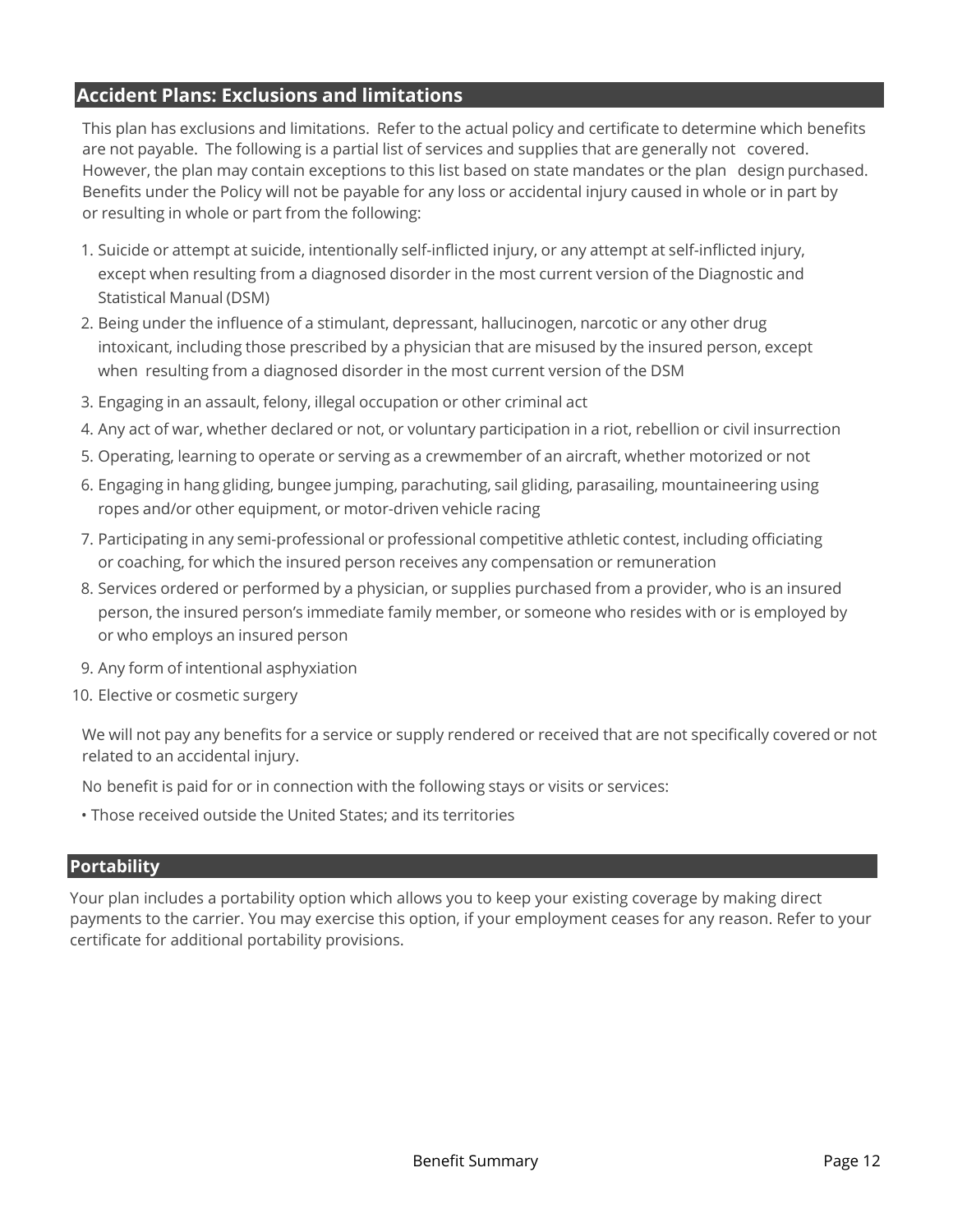### **Accident Plans: Exclusions and limitations**

This plan has exclusions and limitations. Refer to the actual policy and certificate to determine which benefits are not payable. The following is a partial list of services and supplies that are generally not covered. However, the plan may contain exceptions to this list based on state mandates or the plan design purchased. Benefits under the Policy will not be payable for any loss or accidental injury caused in whole or in part by or resulting in whole or part from the following:

- 1. Suicide or attempt at suicide, intentionally self-inflicted injury, or any attempt at self-inflicted injury, except when resulting from a diagnosed disorder in the most current version of the Diagnostic and Statistical Manual (DSM)
- 2. Being under the influence of a stimulant, depressant, hallucinogen, narcotic or any other drug intoxicant, including those prescribed by a physician that are misused by the insured person, except when resulting from a diagnosed disorder in the most current version of the DSM
- 3. Engaging in an assault, felony, illegal occupation or other criminal act
- 4. Any act of war, whether declared or not, or voluntary participation in a riot, rebellion or civil insurrection
- 5. Operating, learning to operate or serving as a crewmember of an aircraft, whether motorized or not
- 6. Engaging in hang gliding, bungee jumping, parachuting, sail gliding, parasailing, mountaineering using ropes and/or other equipment, or motor-driven vehicle racing
- 7. Participating in any semi-professional or professional competitive athletic contest, including officiating or coaching, for which the insured person receives any compensation or remuneration
- 8. Services ordered or performed by a physician, or supplies purchased from a provider, who is an insured person, the insured person's immediate family member, or someone who resides with or is employed by or who employs an insured person
- 9. Any form of intentional asphyxiation
- 10. Elective or cosmetic surgery

We will not pay any benefits for a service or supply rendered or received that are not specifically covered or not related to an accidental injury.

No benefit is paid for or in connection with the following stays or visits or services:

• Those received outside the United States; and its territories

#### **Portability**

Your plan includes a portability option which allows you to keep your existing coverage by making direct payments to the carrier. You may exercise this option, if your employment ceases for any reason. Refer to your certificate for additional portability provisions.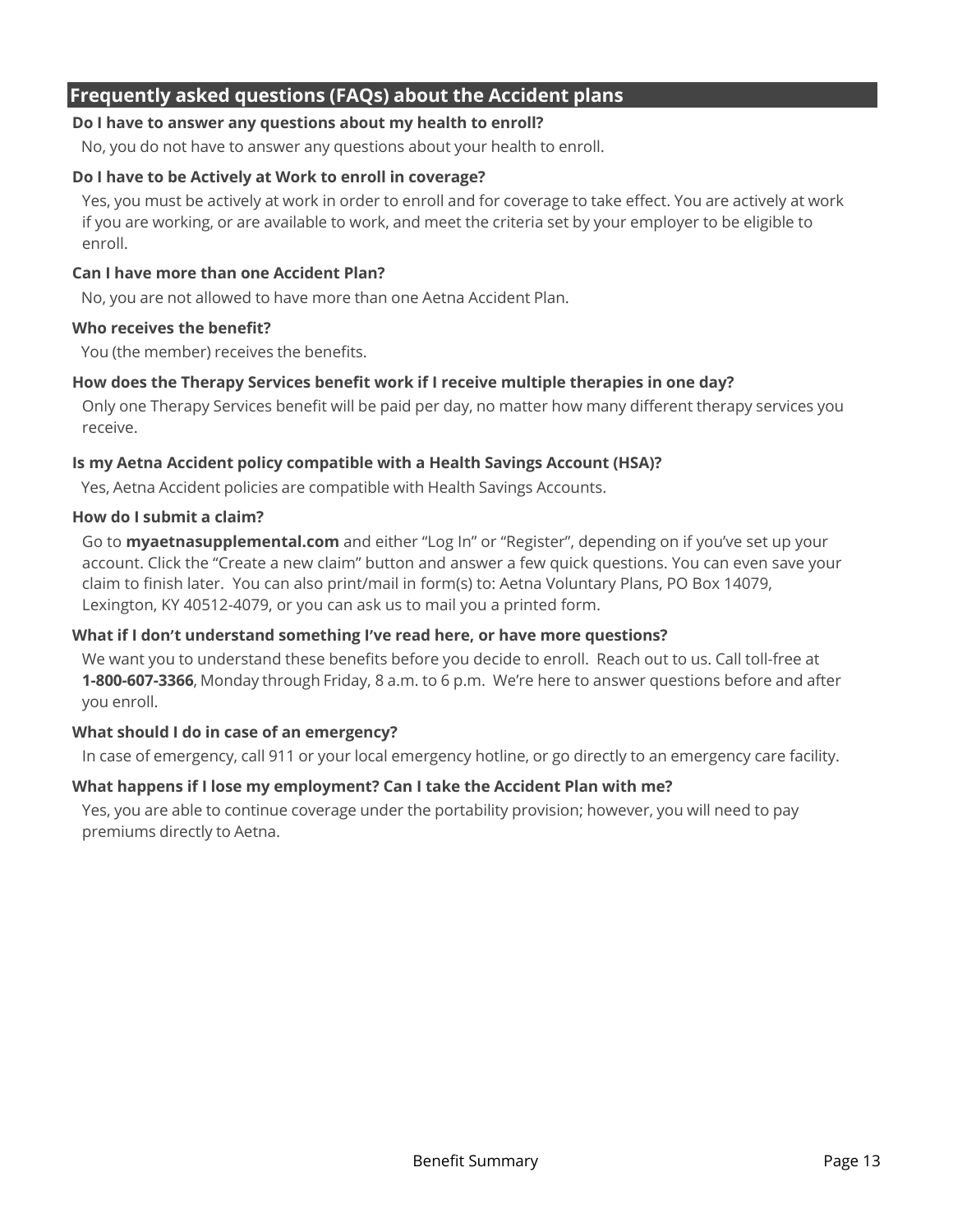### **Frequently asked questions (FAQs) about the Accident plans**

#### **Do I have to answer any questions about my health to enroll?**

No, you do not have to answer any questions about your health to enroll.

#### **Do I have to be Actively at Work to enroll in coverage?**

Yes, you must be actively at work in order to enroll and for coverage to take effect. You are actively at work if you are working, or are available to work, and meet the criteria set by your employer to be eligible to enroll.

#### **Can I have more than one Accident Plan?**

No, you are not allowed to have more than one Aetna Accident Plan.

#### **Who receives the benefit?**

You (the member) receives the benefits.

#### **How does the Therapy Services benefit work if I receive multiple therapies in one day?**

Only one Therapy Services benefit will be paid per day, no matter how many different therapy services you receive.

#### **Is my Aetna Accident policy compatible with a Health Savings Account (HSA)?**

Yes, Aetna Accident policies are compatible with Health Savings Accounts.

#### **How do I submit a claim?**

Go to **myaetnasupplemental.com** and either "Log In" or "Register", depending on if you've set up your account. Click the "Create a new claim" button and answer a few quick questions. You can even save your claim to finish later. You can also print/mail in form(s) to: Aetna Voluntary Plans, PO Box 14079, Lexington, KY 40512-4079, or you can ask us to mail you a printed form.

#### **What if I don't understand something I've read here, or have more questions?**

We want you to understand these benefits before you decide to enroll. Reach out to us. Call toll-free at **1-800-607-3366**, Monday through Friday, 8 a.m. to 6 p.m. We're here to answer questions before and after you enroll.

#### **What should I do in case of an emergency?**

In case of emergency, call 911 or your local emergency hotline, or go directly to an emergency care facility.

#### **What happens if I lose my employment? Can I take the Accident Plan with me?**

Yes, you are able to continue coverage under the portability provision; however, you will need to pay premiums directly to Aetna.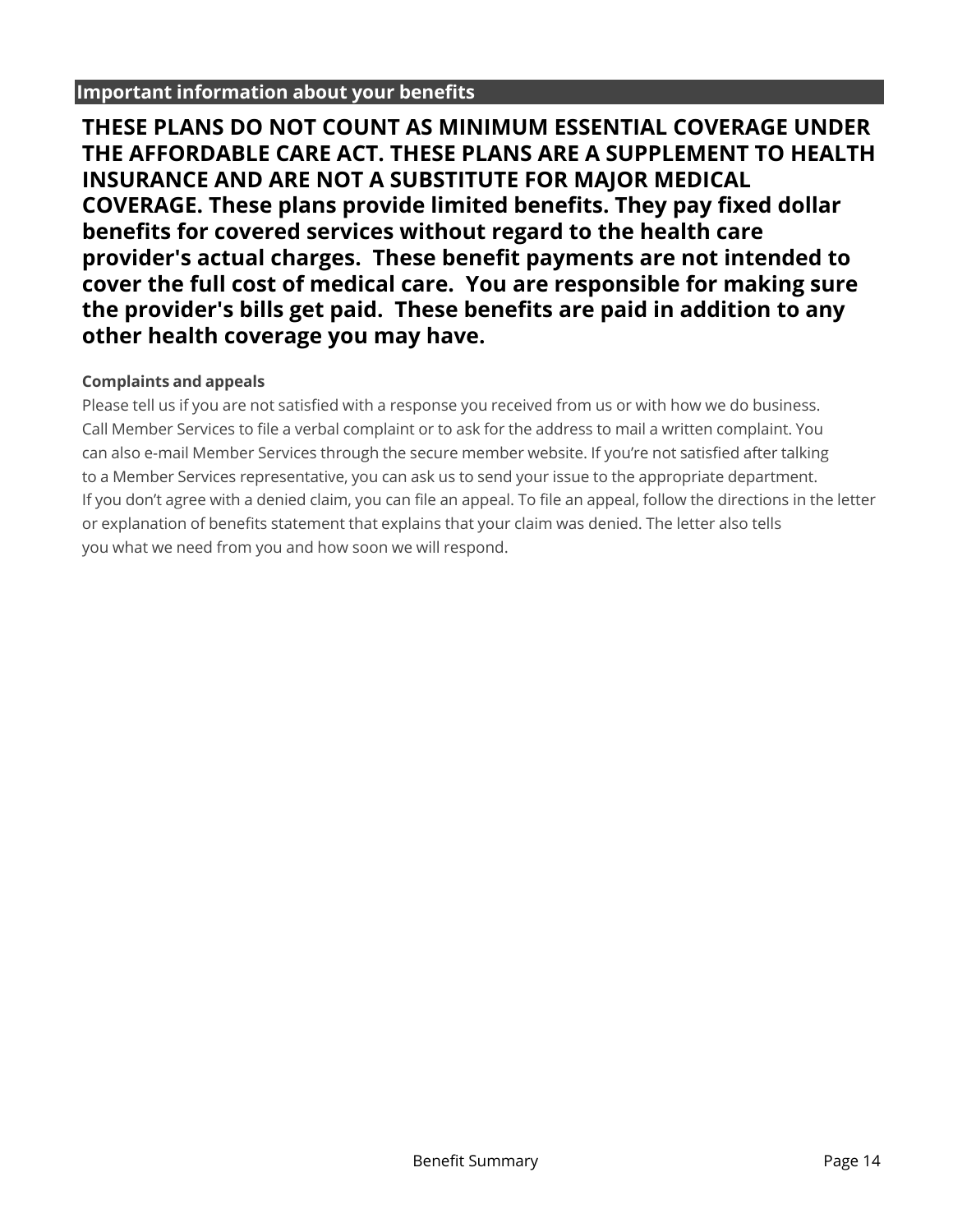#### **Important information about your benefits**

**THESE PLANS DO NOT COUNT AS MINIMUM ESSENTIAL COVERAGE UNDER** THE AFFORDABLE CARE ACT. THESE PLANS ARE A SUPPLEMENT TO HEALTH **INSURANCE AND ARE NOT A SUBSTITUTE FOR MAJOR MEDICAL COVERAGE.** These plans provide limited benefits. They pay fixed dollar **benefits for covered services without regard to the health care** provider's actual charges. These benefit payments are not intended to cover the full cost of medical care. You are responsible for making sure the provider's bills get paid. These benefits are paid in addition to any other health coverage you may have.

#### **Complaints and appeals**

Please tell us if you are not satisfied with a response you received from us or with how we do business. Call Member Services to file a verbal complaint or to ask for the address to mail a written complaint. You can also e-mail Member Services through the secure member website. If you're not satisfied after talking to a Member Services representative, you can ask us to send your issue to the appropriate department. If you don't agree with a denied claim, you can file an appeal. To file an appeal, follow the directions in the letter or explanation of benefits statement that explains that your claim was denied. The letter also tells you what we need from you and how soon we will respond.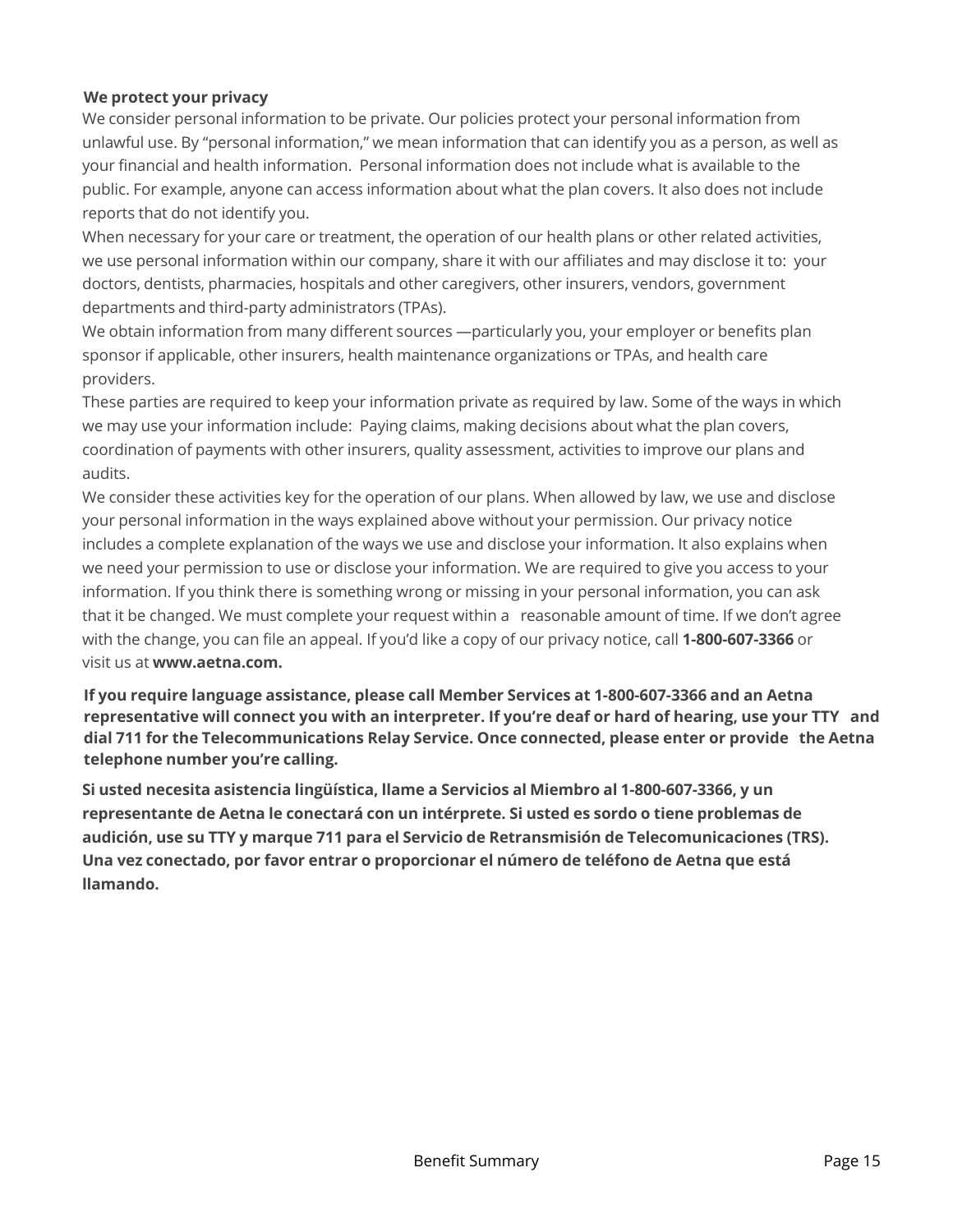#### **We protect your privacy**

We consider personal information to be private. Our policies protect your personal information from unlawful use. By "personal information," we mean information that can identify you as a person, as well as your financial and health information. Personal information does not include what is available to the public. For example, anyone can access information about what the plan covers. It also does not include reports that do not identify you.

When necessary for your care or treatment, the operation of our health plans or other related activities, we use personal information within our company, share it with our affiliates and may disclose it to: your doctors, dentists, pharmacies, hospitals and other caregivers, other insurers, vendors, government departments and third-party administrators (TPAs).

We obtain information from many different sources —particularly you, your employer or benefits plan sponsor if applicable, other insurers, health maintenance organizations or TPAs, and health care providers.

These parties are required to keep your information private as required by law. Some of the ways in which we may use your information include: Paying claims, making decisions about what the plan covers, coordination of payments with other insurers, quality assessment, activities to improve our plans and audits.

We consider these activities key for the operation of our plans. When allowed by law, we use and disclose your personal information in the ways explained above without your permission. Our privacy notice includes a complete explanation of the ways we use and disclose your information. It also explains when we need your permission to use or disclose your information. We are required to give you access to your information. If you think there is something wrong or missing in your personal information, you can ask that it be changed. We must complete your request within a reasonable amount of time. If we don't agree with the change, you can file an appeal. If you'd like a copy of our privacy notice, call **1-800-607-3366** or visit us at **www.aetna.com.** 

**If you require language assistance, please call Member Services at 1-800-607-3366 and an Aetna representative will connect you with an interpreter. If you're deaf or hard of hearing, use your TTY and dial 711 for the Telecommunications Relay Service. Once connected, please enter or provide the Aetna telephone number you're calling.** 

**Si usted necesita asistencia lingüística, llame a Servicios al Miembro al 1-800-607-3366, y un representante de Aetna le conectará con un intérprete. Si usted es sordo o tiene problemas de audición, use su TTY y marque 711 para el Servicio de Retransmisión de Telecomunicaciones (TRS). Una vez conectado, por favor entrar o proporcionar el número de teléfono de Aetna que está llamando.**